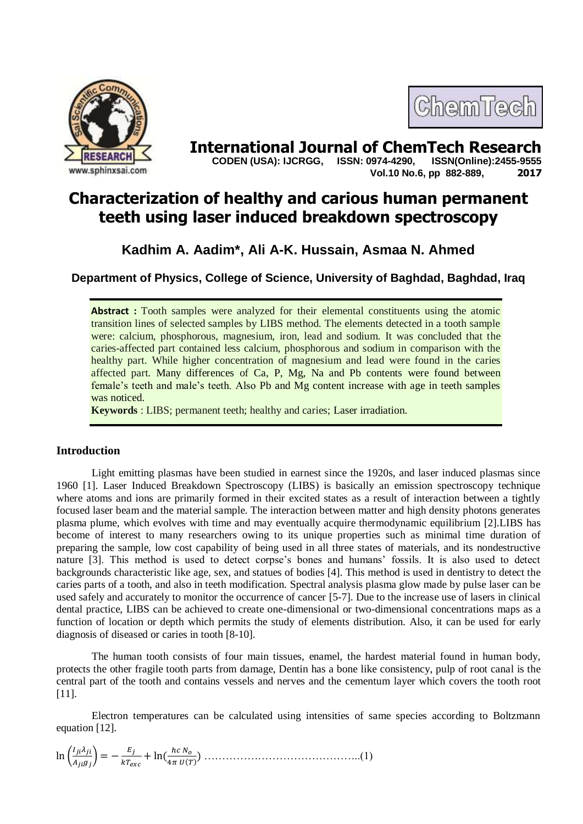



**International Journal of ChemTech Research copen (USA): IJCRGG. ISSN: 0974-4290. ISSN(Online):2455-9555 CODEN (USA): IJCRGG, ISSN: 0974-4290, Vol.10 No.6, pp 882-889, 2017**

# **Characterization of healthy and carious human permanent teeth using laser induced breakdown spectroscopy**

## **Kadhim A. Aadim\*, Ali A-K. Hussain, Asmaa N. Ahmed**

**Department of Physics, College of Science, University of Baghdad, Baghdad, Iraq**

**Abstract** : Tooth samples were analyzed for their elemental constituents using the atomic transition lines of selected samples by LIBS method. The elements detected in a tooth sample were: calcium, phosphorous, magnesium, iron, lead and sodium. It was concluded that the caries-affected part contained less calcium, phosphorous and sodium in comparison with the healthy part. While higher concentration of magnesium and lead were found in the caries affected part. Many differences of Ca, P, Mg, Na and Pb contents were found between female's teeth and male's teeth. Also Pb and Mg content increase with age in teeth samples was noticed.

**Keywords** : LIBS; permanent teeth; healthy and caries; Laser irradiation.

## **Introduction**

Light emitting plasmas have been studied in earnest since the 1920s, and laser induced plasmas since 1960 [1]. Laser Induced Breakdown Spectroscopy (LIBS) is basically an emission spectroscopy technique where atoms and ions are primarily formed in their excited states as a result of interaction between a tightly focused laser beam and the material sample. The interaction between matter and high density photons generates plasma plume, which evolves with time and may eventually acquire thermodynamic equilibrium [2].LIBS has become of interest to many researchers owing to its unique properties such as minimal time duration of preparing the sample, low cost capability of being used in all three states of materials, and its nondestructive nature [3]. This method is used to detect corpse's bones and humans' fossils. It is also used to detect backgrounds characteristic like age, sex, and statues of bodies [4]. This method is used in dentistry to detect the caries parts of a tooth, and also in teeth modification. Spectral analysis plasma glow made by pulse laser can be used safely and accurately to monitor the occurrence of cancer [5-7]. Due to the increase use of lasers in clinical dental practice, LIBS can be achieved to create one-dimensional or two-dimensional concentrations maps as a function of location or depth which permits the study of elements distribution. Also, it can be used for early diagnosis of diseased or caries in tooth [8-10].

The human tooth consists of four main tissues, enamel, the hardest material found in human body, protects the other fragile tooth parts from damage, Dentin has a bone like consistency, pulp of root canal is the central part of the tooth and contains vessels and nerves and the cementum layer which covers the tooth root [11].

Electron temperatures can be calculated using intensities of same species according to Boltzmann equation [12].

 ( ) ) ) ……………………………………..(1)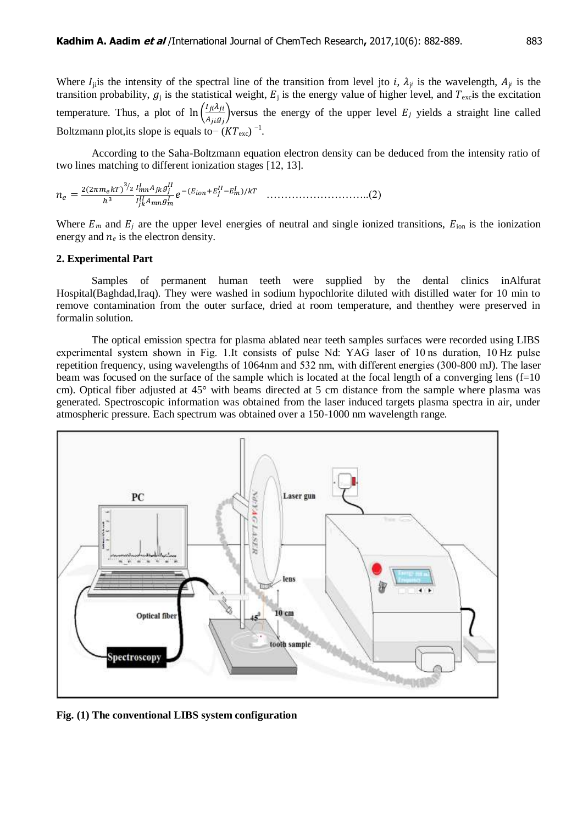Where  $I_{ji}$ is the intensity of the spectral line of the transition from level jto *i*,  $\lambda_{ji}$  is the wavelength,  $A_{ji}$  is the transition probability,  $g_i$  is the statistical weight,  $E_i$  is the energy value of higher level, and  $T_{\text{ex}}$  is the excitation temperature. Thus, a plot of  $\ln\left(\frac{l}{2}\right)$  $\frac{\partial P}{\partial i}$  versus the energy of the upper level  $E_j$  yields a straight line called Boltzmann plot,its slope is equals to  $-(KT<sub>exc</sub>)$ <sup>-1</sup>.

According to the Saha-Boltzmann equation electron density can be deduced from the intensity ratio of two lines matching to different ionization stages [12, 13].

 ) ⁄ ) ………………………..(2)

Where  $E_m$  and  $E_j$  are the upper level energies of neutral and single ionized transitions,  $E_{ion}$  is the ionization energy and  $n_e$  is the electron density.

#### **2. Experimental Part**

Samples of permanent human teeth were supplied by the dental clinics inAlfurat Hospital(Baghdad,Iraq). They were washed in sodium hypochlorite diluted with distilled water for 10 min to remove contamination from the outer surface, dried at room temperature, and thenthey were preserved in formalin solution.

The optical emission spectra for plasma ablated near teeth samples surfaces were recorded using LIBS experimental system shown in Fig. 1.It consists of pulse Nd: YAG laser of 10 ns duration, 10 Hz pulse repetition frequency, using wavelengths of 1064nm and 532 nm, with different energies (300-800 mJ). The laser beam was focused on the surface of the sample which is located at the focal length of a converging lens (f=10 cm). Optical fiber adjusted at 45° with beams directed at 5 cm distance from the sample where plasma was generated. Spectroscopic information was obtained from the laser induced targets plasma spectra in air, under atmospheric pressure. Each spectrum was obtained over a 150-1000 nm wavelength range.



**Fig. (1) The conventional LIBS system configuration**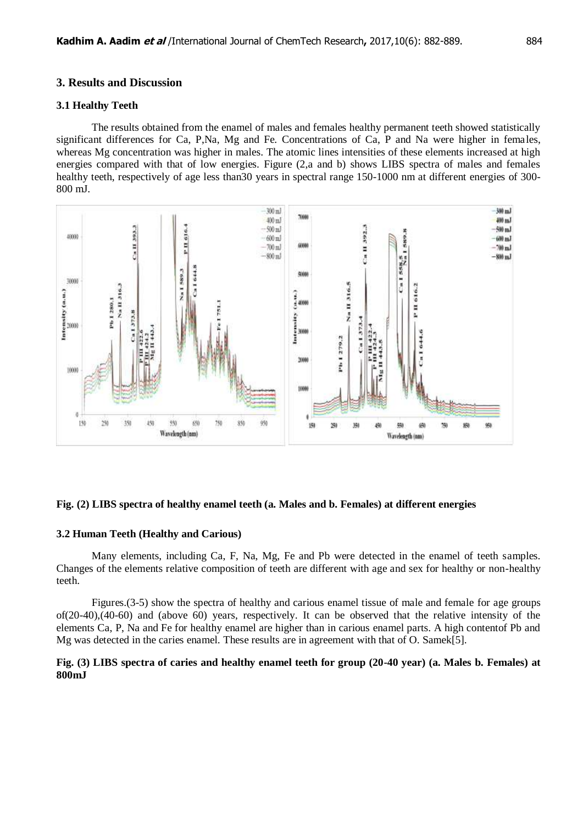#### **3. Results and Discussion**

#### **3.1 Healthy Teeth**

The results obtained from the enamel of males and females healthy permanent teeth showed statistically significant differences for Ca, P,Na, Mg and Fe. Concentrations of Ca, P and Na were higher in females, whereas Mg concentration was higher in males. The atomic lines intensities of these elements increased at high energies compared with that of low energies. Figure (2,a and b) shows LIBS spectra of males and females healthy teeth, respectively of age less than 30 years in spectral range 150-1000 nm at different energies of 300-800 mJ.



#### **Fig. (2) LIBS spectra of healthy enamel teeth (a. Males and b. Females) at different energies**

#### **3.2 Human Teeth (Healthy and Carious)**

Many elements, including Ca, F, Na, Mg, Fe and Pb were detected in the enamel of teeth samples. Changes of the elements relative composition of teeth are different with age and sex for healthy or non-healthy teeth.

Figures.(3-5) show the spectra of healthy and carious enamel tissue of male and female for age groups of(20-40),(40-60) and (above 60) years, respectively. It can be observed that the relative intensity of the elements Ca, P, Na and Fe for healthy enamel are higher than in carious enamel parts. A high contentof Pb and Mg was detected in the caries enamel. These results are in agreement with that of O. Samek[5].

## **Fig. (3) LIBS spectra of caries and healthy enamel teeth for group (20-40 year) (a. Males b. Females) at 800mJ**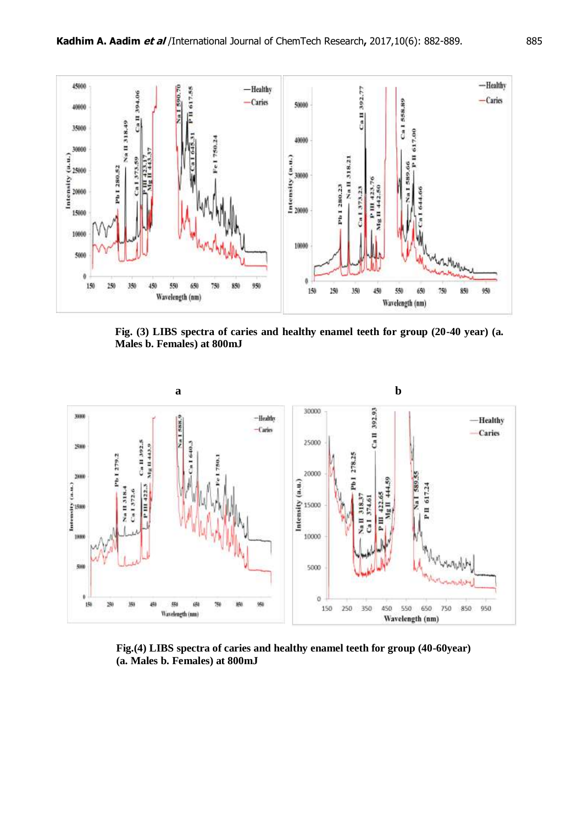

**Fig. (3) LIBS spectra of caries and healthy enamel teeth for group (20-40 year) (a. Males b. Females) at 800mJ**



**Fig.(4) LIBS spectra of caries and healthy enamel teeth for group (40-60year) (a. Males b. Females) at 800mJ**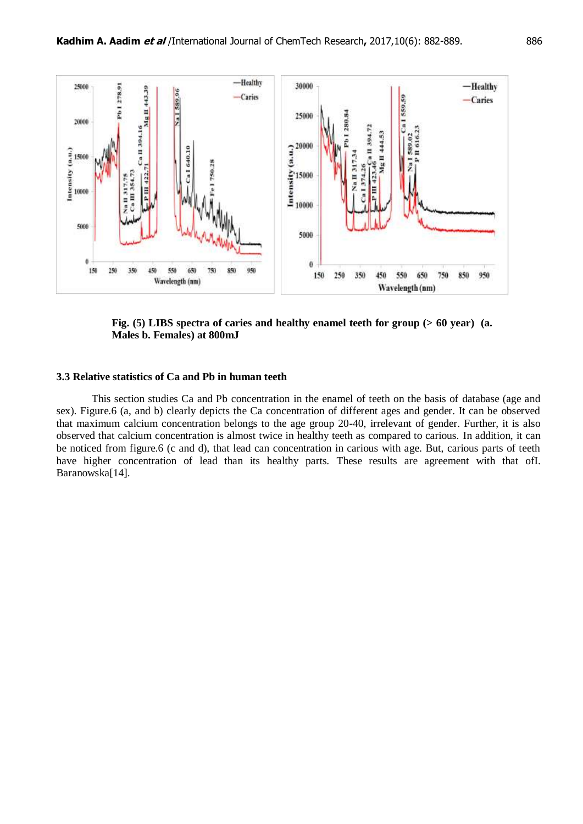

**Fig. (5) LIBS spectra of caries and healthy enamel teeth for group (> 60 year) (a. Males b. Females) at 800mJ**

#### **3.3 Relative statistics of Ca and Pb in human teeth**

This section studies Ca and Pb concentration in the enamel of teeth on the basis of database (age and sex). Figure.6 (a, and b) clearly depicts the Ca concentration of different ages and gender. It can be observed that maximum calcium concentration belongs to the age group 20-40, irrelevant of gender. Further, it is also observed that calcium concentration is almost twice in healthy teeth as compared to carious. In addition, it can be noticed from figure.6 (c and d), that lead can concentration in carious with age. But, carious parts of teeth have higher concentration of lead than its healthy parts. These results are agreement with that ofI. Baranowska[14].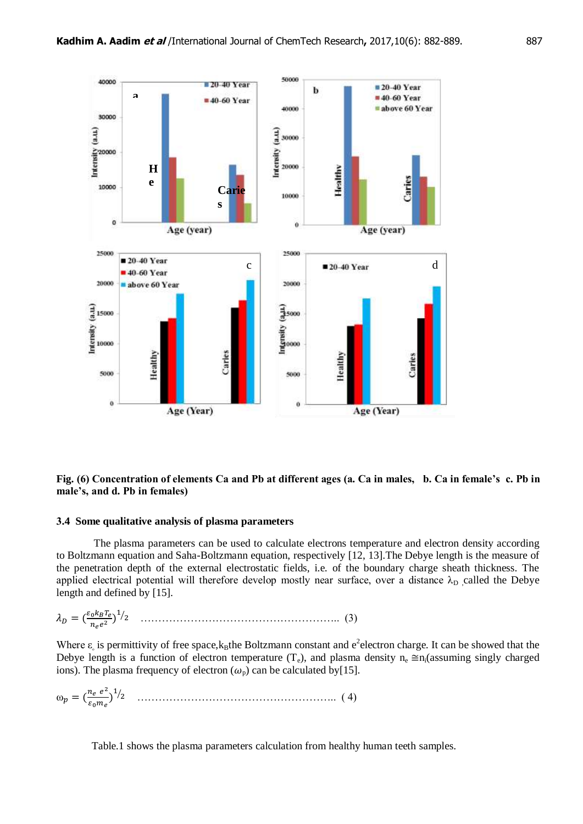

## **Fig. (6) Concentration of elements Ca and Pb at different ages (a. Ca in males, b. Ca in female's c. Pb in male's, and d. Pb in females)**

#### **3.4 Some qualitative analysis of plasma parameters**

The plasma parameters can be used to calculate electrons temperature and electron density according to Boltzmann equation and Saha-Boltzmann equation, respectively [12, 13].The Debye length is the measure of the penetration depth of the external electrostatic fields, i.e. of the boundary charge sheath thickness. The applied electrical potential will therefore develop mostly near surface, over a distance  $\lambda_{\rm D}$  called the Debye length and defined by [15].

$$
\lambda_D = \left(\frac{\varepsilon_0 k_B T_e}{n_e e^2}\right)^{1/2} \quad \dots \quad \dots \quad \dots \quad \dots \quad \dots \quad \dots \quad (3)
$$

Where  $\varepsilon_{\rm s}$  is permittivity of free space,  $k_B$ the Boltzmann constant and e<sup>2</sup>electron charge. It can be showed that the Debye length is a function of electron temperature  $(T_e)$ , and plasma density  $n_e \approx n_i$  (assuming singly charged ions). The plasma frequency of electron  $(\omega_p)$  can be calculated by[15].

 $\omega_p = (\frac{n_e e^2}{\sigma^2})$ ) ⁄ ……………………………………………….. ( 4)

Table.1 shows the plasma parameters calculation from healthy human teeth samples.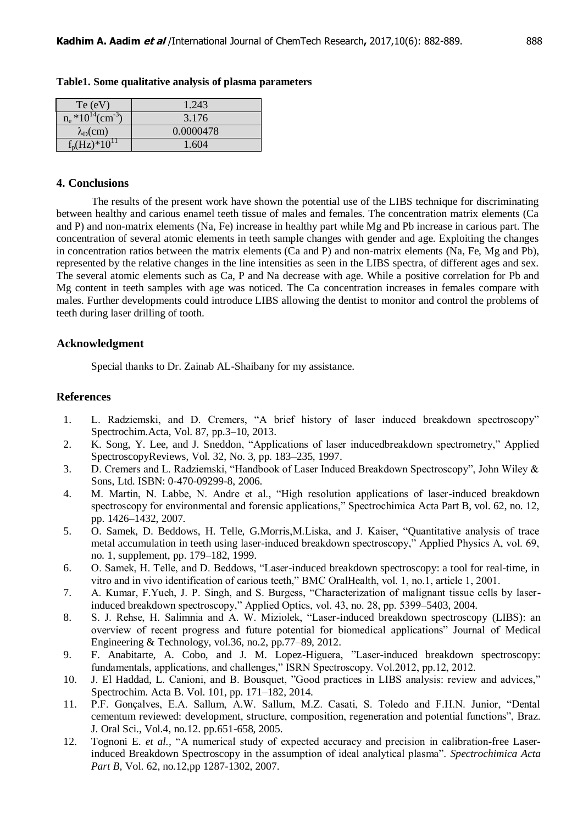| Te(eV)                              | 1.243     |
|-------------------------------------|-----------|
| $n_e * 10^{14}$ (cm <sup>-3</sup> ) | 3.176     |
| $\lambda_D$ (cm)                    | 0.0000478 |
| $f_p(Hz)*10^{11}$                   | 1.604     |

**Table1. Some qualitative analysis of plasma parameters**

#### **4. Conclusions**

The results of the present work have shown the potential use of the LIBS technique for discriminating between healthy and carious enamel teeth tissue of males and females. The concentration matrix elements (Ca and P) and non-matrix elements (Na, Fe) increase in healthy part while Mg and Pb increase in carious part. The concentration of several atomic elements in teeth sample changes with gender and age. Exploiting the changes in concentration ratios between the matrix elements (Ca and P) and non-matrix elements (Na, Fe, Mg and Pb), represented by the relative changes in the line intensities as seen in the LIBS spectra, of different ages and sex. The several atomic elements such as Ca, P and Na decrease with age. While a positive correlation for Pb and Mg content in teeth samples with age was noticed. The Ca concentration increases in females compare with males. Further developments could introduce LIBS allowing the dentist to monitor and control the problems of teeth during laser drilling of tooth.

## **Acknowledgment**

Special thanks to Dr. Zainab AL-Shaibany for my assistance.

### **References**

- 1. L. Radziemski, and D. Cremers, "A brief history of laser induced breakdown spectroscopy" Spectrochim.Acta, Vol. 87, pp.3–10, 2013.
- 2. K. Song, Y. Lee, and J. Sneddon, "Applications of laser inducedbreakdown spectrometry," Applied SpectroscopyReviews, Vol. 32, No. 3, pp. 183–235, 1997.
- 3. D. Cremers and L. Radziemski, "Handbook of Laser Induced Breakdown Spectroscopy", John Wiley & Sons, Ltd. ISBN: 0-470-09299-8, 2006.
- 4. M. Martin, N. Labbe, N. Andre et al., "High resolution applications of laser-induced breakdown spectroscopy for environmental and forensic applications," Spectrochimica Acta Part B, vol. 62, no. 12, pp. 1426–1432, 2007.
- 5. O. Samek, D. Beddows, H. Telle, G.Morris,M.Liska, and J. Kaiser, "Quantitative analysis of trace metal accumulation in teeth using laser-induced breakdown spectroscopy," Applied Physics A, vol. 69, no. 1, supplement, pp. 179–182, 1999.
- 6. O. Samek, H. Telle, and D. Beddows, "Laser-induced breakdown spectroscopy: a tool for real-time, in vitro and in vivo identification of carious teeth," BMC OralHealth, vol. 1, no.1, article 1, 2001.
- 7. A. Kumar, F.Yueh, J. P. Singh, and S. Burgess, "Characterization of malignant tissue cells by laserinduced breakdown spectroscopy," Applied Optics, vol. 43, no. 28, pp. 5399–5403, 2004.
- 8. S. J. Rehse, H. Salimnia and A. W. Miziolek, "Laser-induced breakdown spectroscopy (LIBS): an overview of recent progress and future potential for biomedical applications" Journal of Medical Engineering & Technology, vol.36, no.2, pp.77–89, 2012.
- 9. F. Anabitarte, A. Cobo, and J. M. Lopez-Higuera, "Laser-induced breakdown spectroscopy: fundamentals, applications, and challenges," ISRN Spectroscopy. Vol.2012, pp.12, 2012.
- 10. J. El Haddad, L. Canioni, and B. Bousquet, "Good practices in LIBS analysis: review and advices," Spectrochim. Acta B. Vol. 101, pp. 171–182, 2014.
- 11. P.F. Gonçalves, E.A. Sallum, A.W. Sallum, M.Z. Casati, S. Toledo and F.H.N. Junior, "Dental cementum reviewed: development, structure, composition, regeneration and potential functions", Braz. J. Oral Sci., Vol.4, no.12. pp.651-658, 2005.
- 12. Tognoni E. *et al.,* "A numerical study of expected accuracy and precision in calibration-free Laserinduced Breakdown Spectroscopy in the assumption of ideal analytical plasma". *Spectrochimica Acta Part B,* Vol. 62, no.12,pp 1287-1302, 2007.